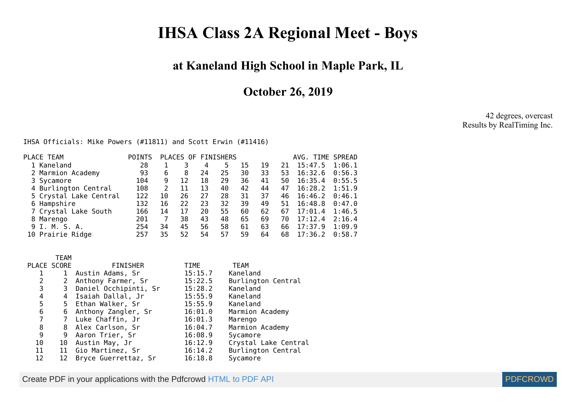## **IHSA Class 2A Regional Meet - Boys**

## **at Kaneland High School in Maple Park, IL**

**October 26, 2019**

42 degrees, overcast Results by RealTiming Inc.

IHSA Officials: Mike Powers (#11811) and Scott Erwin (#11416)

| PLACE TEAM             | <b>POINTS</b> |    |    |    | PLACES OF FINISHERS |    |    |    | AVG. TIME SPREAD |        |
|------------------------|---------------|----|----|----|---------------------|----|----|----|------------------|--------|
| 1 Kaneland             | 28            |    |    | 4  | 5                   | 15 | 19 | 21 | 15:47.5          | 1:06.1 |
| 2 Marmion Academy      | 93            | 6  | 8  | 24 | 25                  | 30 | 33 | 53 | 16:32.6          | 0:56.3 |
| 3 Sycamore             | 104           | 9  | 12 | 18 | 29                  | 36 | 41 | 50 | 16:35.4          | 0:55.5 |
| 4 Burlington Central   | 108           |    | 11 | 13 | 40                  | 42 | 44 | 47 | 16:28.2          | 1:51.9 |
| 5 Crystal Lake Central | 122           | 10 | 26 | 27 | 28                  | 31 | 37 | 46 | 16:46.2          | 0:46.1 |
| 6 Hampshire            | 132           | 16 | 22 | 23 | 32                  | 39 | 49 | 51 | 16:48.8          | 0:47.0 |
| 7 Crystal Lake South   | 166           | 14 | 17 | 20 | 55                  | 60 | 62 | 67 | 17:01.4          | 1:46.5 |
| 8 Marengo              | 201           |    | 38 | 43 | 48                  | 65 | 69 | 70 | 17:12.4          | 2:16.4 |
| 9 I. M. S. A.          | 254           | 34 | 45 | 56 | 58                  | 61 | 63 | 66 | 17:37.9          | 1:09.9 |
| 10 Prairie Ridge       | 257           | 35 | 52 | 54 | 57                  | 59 | 64 | 68 | 17:36.2          | 0:58.7 |
|                        |               |    |    |    |                     |    |    |    |                  |        |

|                | <b>TEAM</b>  |                         |         |                      |
|----------------|--------------|-------------------------|---------|----------------------|
|                | PLACE SCORE  | <b>FINISHER</b>         | TIME    | <b>TEAM</b>          |
|                | $\mathbf{1}$ | Austin Adams, Sr        | 15:15.7 | Kaneland             |
| 2              | 2            | Anthony Farmer, Sr      | 15:22.5 | Burlington Central   |
| 3              |              | 3 Daniel Occhipinti, Sr | 15:28.2 | Kaneland             |
| 4              |              | 4 Isaiah Dallal, Jr     | 15:55.9 | Kaneland             |
| 5              |              | 5 Ethan Walker, Sr      | 15:55.9 | Kaneland             |
| 6              | 6            | Anthony Zangler, Sr     | 16:01.0 | Marmion Academy      |
| $\overline{7}$ |              | 7 Luke Chaffin, Jr      | 16:01.3 | Marengo              |
| 8              |              | 8 Alex Carlson, Sr      | 16:04.7 | Marmion Academy      |
| 9              | 9            | Aaron Trier, Sr         | 16:08.9 | Sycamore             |
| 10             | 10           | Austin May, Jr          | 16:12.9 | Crystal Lake Central |
| 11             |              | 11 Gio Martinez, Sr     | 16:14.2 | Burlington Central   |
| 12             | 12           | Bryce Guerrettaz, Sr    | 16:18.8 | Sycamore             |

Create PDF in your applications with the Pdfcrowd [HTML to PDF API](https://pdfcrowd.com/doc/api/?ref=pdf) [PDFCROWD](https://pdfcrowd.com/?ref=pdf)

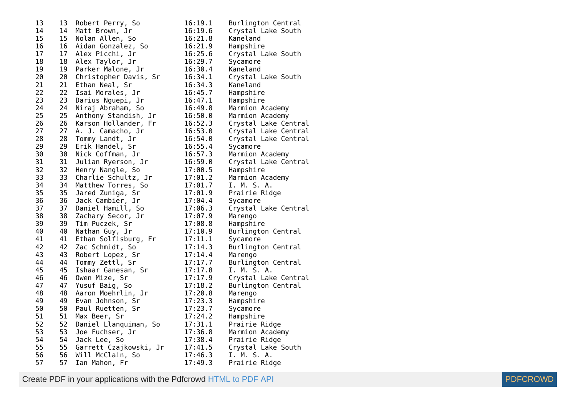| 13 | 13              | Robert Perry, So       | 16:19.1 | Burlington Central   |
|----|-----------------|------------------------|---------|----------------------|
| 14 | 14              | Matt Brown, Jr         | 16:19.6 | Crystal Lake South   |
| 15 | 15 <sub>1</sub> | Nolan Allen, So        | 16:21.8 | Kaneland             |
| 16 | 16              | Aidan Gonzalez, So     | 16:21.9 | Hampshire            |
| 17 | 17 <sub>1</sub> | Alex Picchi, Jr        | 16:25.6 | Crystal Lake South   |
| 18 | 18              | Alex Taylor, Jr        | 16:29.7 | Sycamore             |
| 19 | 19              | Parker Malone, Jr      | 16:30.4 | Kaneland             |
| 20 | 20              | Christopher Davis, Sr  | 16:34.1 | Crystal Lake South   |
| 21 | 21              | Ethan Neal, Sr         | 16:34.3 | Kaneland             |
| 22 | 22              | Isai Morales, Jr       | 16:45.7 | Hampshire            |
| 23 | 23              | Darius Nguepi, Jr      | 16:47.1 | Hampshire            |
| 24 | 24              | Niraj Abraham, So      | 16:49.8 | Marmion Academy      |
| 25 | 25              | Anthony Standish, Jr   | 16:50.0 | Marmion Academy      |
| 26 | 26              | Karson Hollander, Fr   | 16:52.3 | Crystal Lake Central |
| 27 | 27              | A. J. Camacho, Jr      | 16:53.0 | Crystal Lake Central |
| 28 | 28              | Tommy Landt, Jr        | 16:54.0 | Crystal Lake Central |
| 29 | 29              | Erik Handel, Sr        | 16:55.4 | Sycamore             |
| 30 | 30              | Nick Coffman, Jr       | 16:57.3 | Marmion Academy      |
| 31 | 31              | Julian Ryerson, Jr     | 16:59.0 | Crystal Lake Central |
| 32 | 32              | Henry Nangle, So       | 17:00.5 | Hampshire            |
| 33 | 33              | Charlie Schultz, Jr    | 17:01.2 | Marmion Academy      |
| 34 | 34              | Matthew Torres, So     | 17:01.7 | I. M. S. A.          |
| 35 | 35              | Jared Zuniga, Sr       | 17:01.9 | Prairie Ridge        |
| 36 | 36              | Jack Cambier, Jr       | 17:04.4 | Sycamore             |
| 37 | 37              | Daniel Hamill, So      | 17:06.3 | Crystal Lake Central |
| 38 | 38              | Zachary Secor, Jr      | 17:07.9 | Marengo              |
| 39 | 39              | Tim Puczek, Sr         | 17:08.8 | Hampshire            |
| 40 | 40              | Nathan Guy, Jr         | 17:10.9 | Burlington Central   |
| 41 | 41              | Ethan Solfisburg, Fr   | 17:11.1 | Sycamore             |
| 42 | 42              | Zac Schmidt, So        | 17:14.3 | Burlington Central   |
| 43 | 43              | Robert Lopez, Sr       | 17:14.4 | Marengo              |
| 44 | 44              | Tommy Zettl, Sr        | 17:17.7 | Burlington Central   |
| 45 | 45              | Ishaar Ganesan, Sr     | 17:17.8 | I. M. S. A.          |
| 46 | 46              | Owen Mize, Sr          | 17:17.9 | Crystal Lake Central |
| 47 | 47              | Yusuf Baig, So         | 17:18.2 | Burlington Central   |
| 48 | 48              | Aaron Moehrlin, Jr     | 17:20.8 | Marengo              |
| 49 | 49              | Evan Johnson, Sr       | 17:23.3 | Hampshire            |
| 50 | 50              | Paul Ruetten, Sr       | 17:23.7 | Sycamore             |
| 51 | 51              | Max Beer, Sr           | 17:24.2 | Hampshire            |
| 52 | 52              | Daniel Llanquiman, So  | 17:31.1 | Prairie Ridge        |
| 53 | 53              | Joe Fuchser, Jr        | 17:36.8 | Marmion Academy      |
| 54 | 54              | Jack Lee, So           | 17:38.4 | Prairie Ridge        |
| 55 | 55              | Garrett Czajkowski, Jr | 17:41.5 | Crystal Lake South   |
| 56 | 56              | Will McClain, So       | 17:46.3 | I. M. S. A.          |
| 57 | 57              | Ian Mahon, Fr          | 17:49.3 | Prairie Ridge        |